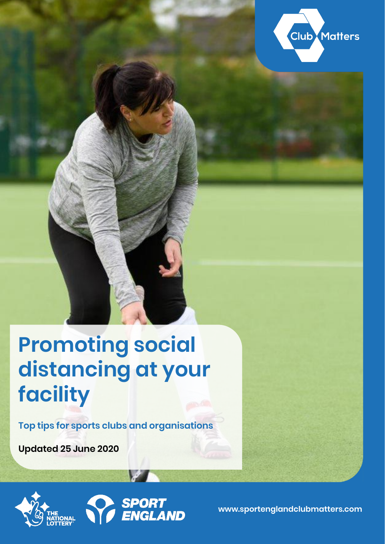

# **Promoting social distancing at your facility**

**Top tips for sports clubs and organisations**

**Updated 25 June 2020**



**www.sportenglandclubmatters.com**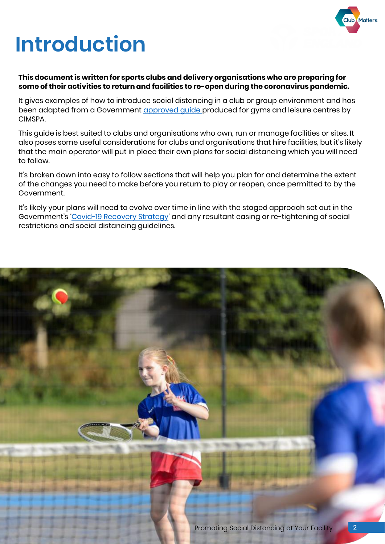

# **Introduction**

#### **This document is written for sports clubs and delivery organisations who are preparing for some of their activities to return and facilities to re-open during the coronavirus pandemic.**

It gives examples of how to introduce social distancing in a club or group environment and has been adapted from a Government [approved guide p](https://www.cimspa.co.uk/library-and-guidance/coronavirus---cimspa-briefings/reopen-sport-and-physical-activity-sector-facility-reopening-guidance/social-distancing-in-the-sport-and-physical-activity-sector)roduced for gyms and leisure centres by CIMSPA.

This guide is best suited to clubs and organisations who own, run or manage facilities or sites. It also poses some useful considerations for clubs and organisations that hire facilities, but it's likely that the main operator will put in place their own plans for social distancing which you will need to follow.

It's broken down into easy to follow sections that will help you plan for and determine the extent of the changes you need to make before you return to play or reopen, once permitted to by the Government.

It's likely your plans will need to evolve over time in line with the staged approach set out in the Government's '[Covid-19 Recovery Strategy](https://www.gov.uk/government/publications/our-plan-to-rebuild-the-uk-governments-covid-19-recovery-strategy/our-plan-to-rebuild-the-uk-governments-covid-19-recovery-strategy)' and any resultant easing or re-tightening of social restrictions and social distancing guidelines.

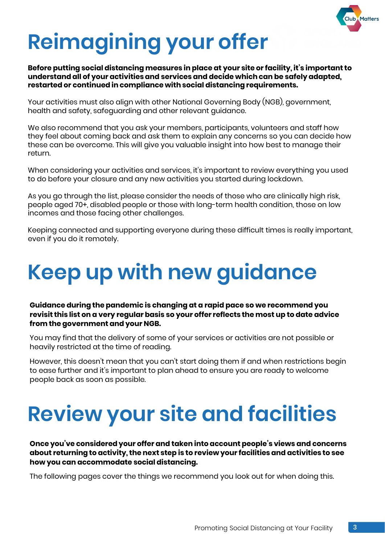

# **Reimagining your offer**

**Before putting social distancing measures in place at your site or facility, it's important to understand all of your activities and services and decide which can be safely adapted, restarted or continued in compliance with social distancing requirements.**

Your activities must also align with other National Governing Body (NGB), government, health and safety, safeguarding and other relevant guidance.

We also recommend that you ask your members, participants, volunteers and staff how they feel about coming back and ask them to explain any concerns so you can decide how these can be overcome. This will give you valuable insight into how best to manage their return.

When considering your activities and services, it's important to review everything you used to do before your closure and any new activities you started during lockdown.

As you go through the list, please consider the needs of those who are clinically high risk, people aged 70+, disabled people or those with long-term health condition, those on low incomes and those facing other challenges.

Keeping connected and supporting everyone during these difficult times is really important, even if you do it remotely.

# **Keep up with new guidance**

**Guidance during the pandemic is changing at a rapid pace so we recommend you revisit this list on a very regular basis so your offer reflects the most up to date advice from the government and your NGB.**

You may find that the delivery of some of your services or activities are not possible or heavily restricted at the time of reading.

However, this doesn't mean that you can't start doing them if and when restrictions begin to ease further and it's important to plan ahead to ensure you are ready to welcome people back as soon as possible.

# **Review your site and facilities**

**Once you've considered your offer and taken into account people's views and concerns about returning to activity, the next step is to review your facilities and activities to see how you can accommodate social distancing.** 

The following pages cover the things we recommend you look out for when doing this.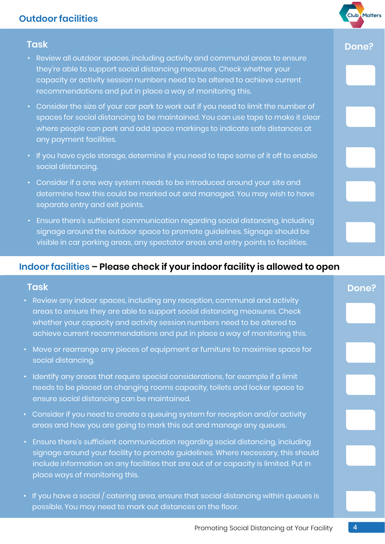# **Outdoor facilities**

- Review all outdoor spaces, including activity and communal areas to ensure they're able to support social distancing measures. Check whether your capacity or activity session numbers need to be altered to achieve current recommendations and put in place a way of monitoring this.
- Consider the size of your car park to work out if you need to limit the number of spaces for social distancing to be maintained. You can use tape to make it clear where people can park and add space markings to indicate safe distances at any payment facilities.
- If you have cycle storage, determine if you need to tape some of it off to enable social distancing.
- Consider if a one way system needs to be introduced around your site and determine how this could be marked out and managed. You may wish to have separate entry and exit points.
- Ensure there's sufficient communication regarding social distancing, including signage around the outdoor space to promote guidelines. Signage should be visible in car parking areas, any spectator areas and entry points to facilities.

### **Indoor facilities – Please check if your indoor facility is allowed to open**

#### **Task**

- Review any indoor spaces, including any reception, communal and activity areas to ensure they are able to support social distancing measures. Check whether your capacity and activity session numbers need to be altered to achieve current recommendations and put in place a way of monitoring this.
- Move or rearrange any pieces of equipment or furniture to maximise space for social distancing.
- Identify any areas that require special considerations, for example if a limit needs to be placed on changing rooms capacity, toilets and locker space to ensure social distancing can be maintained.
- Consider if you need to create a queuing system for reception and/or activity areas and how you are going to mark this out and manage any queues.
- Ensure there's sufficient communication regarding social distancing, including signage around your facility to promote guidelines. Where necessary, this should include information on any facilities that are out of or capacity is limited. Put in place ways of monitoring this.
- If you have a social / catering area, ensure that social distancing within queues is possible. You may need to mark out distances on the floor.

4

## **Task Done?**

**Club** Matters

# **Done?**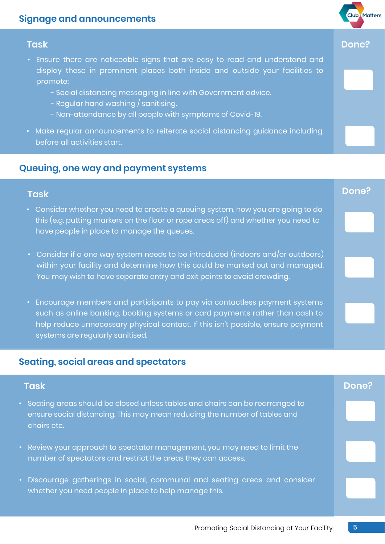# **Signage and announcements**

#### **Task Done?**

- Ensure there are noticeable signs that are easy to read and understand and display these in prominent places both inside and outside your facilities to promote:
	- Social distancing messaging in line with Government advice.
	- Regular hand washing / sanitising.
	- Non-attendance by all people with symptoms of Covid-19.
- Make regular announcements to reiterate social distancing guidance including before all activities start.

### **Queuing, one way and payment systems**

# **Task Done?**

- Consider whether you need to create a queuing system, how you are going to do this (e.g. putting markers on the floor or rope areas off) and whether you need to have people in place to manage the queues.
- Consider if a one way system needs to be introduced (indoors and/or outdoors) within your facility and determine how this could be marked out and managed. You may wish to have separate entry and exit points to avoid crowding.
- Encourage members and participants to pay via contactless payment systems such as online banking, booking systems or card payments rather than cash to help reduce unnecessary physical contact. If this isn't possible, ensure payment systems are regularly sanitised.

### **Seating, social areas and spectators**

#### **Task Done?**

- Seating areas should be closed unless tables and chairs can be rearranged to ensure social distancing. This may mean reducing the number of tables and chairs etc.
- Review your approach to spectator management, you may need to limit the number of spectators and restrict the areas they can access.
- Discourage gatherings in social, communal and seating areas and consider whether you need people in place to help manage this.

**Club** Matters